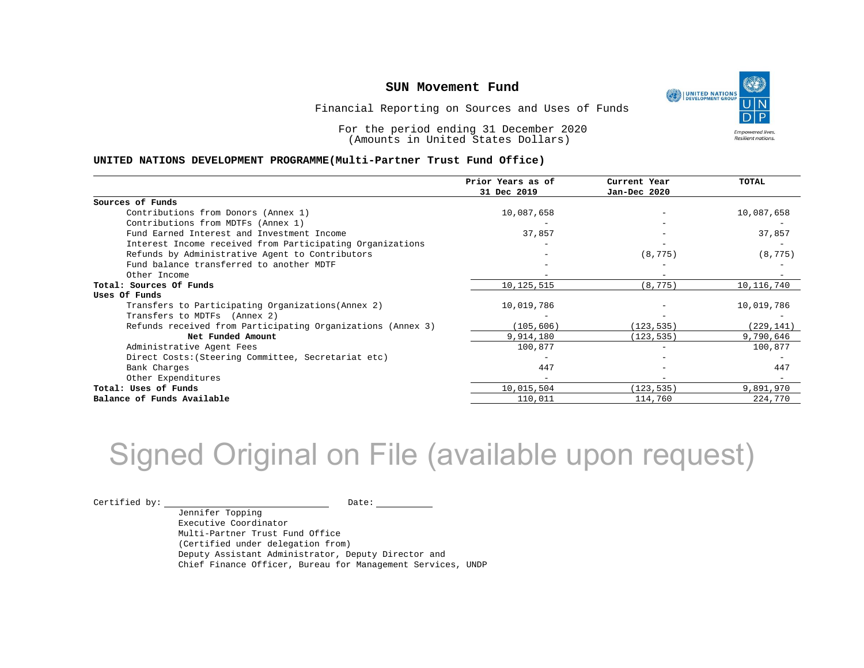

Financial Reporting on Sources and Uses of Funds

For the period ending 31 December 2020 (Amounts in United States Dollars)

#### **UNITED NATIONS DEVELOPMENT PROGRAMME(Multi-Partner Trust Fund Office)**

|                                                             | Prior Years as of | Current Year | TOTAL      |
|-------------------------------------------------------------|-------------------|--------------|------------|
|                                                             | 31 Dec 2019       | Jan-Dec 2020 |            |
| Sources of Funds                                            |                   |              |            |
| Contributions from Donors (Annex 1)                         | 10,087,658        |              | 10,087,658 |
| Contributions from MDTFs (Annex 1)                          |                   |              |            |
| Fund Earned Interest and Investment Income                  | 37,857            |              | 37,857     |
| Interest Income received from Participating Organizations   |                   |              |            |
| Refunds by Administrative Agent to Contributors             |                   | (8, 775)     | (8, 775)   |
| Fund balance transferred to another MDTF                    |                   |              |            |
| Other Income                                                |                   |              |            |
| Total: Sources Of Funds                                     | 10,125,515        | (8, 775)     | 10,116,740 |
| Uses Of Funds                                               |                   |              |            |
| Transfers to Participating Organizations (Annex 2)          | 10,019,786        |              | 10,019,786 |
| Transfers to MDTFs (Annex 2)                                |                   |              |            |
| Refunds received from Participating Organizations (Annex 3) | (105, 606)        | (123, 535)   | (229, 141) |
| Net Funded Amount                                           | 9,914,180         | (123, 535)   | 9,790,646  |
| Administrative Agent Fees                                   | 100,877           |              | 100,877    |
| Direct Costs: (Steering Committee, Secretariat etc)         |                   |              |            |
| Bank Charges                                                | 447               |              | 447        |
| Other Expenditures                                          |                   |              |            |
| Total: Uses of Funds                                        | 10,015,504        | (123, 535)   | 9,891,970  |
| Balance of Funds Available                                  | 110,011           | 114,760      | 224,770    |

## Signed Original on File (available upon request)

 $\begin{picture}(180,10) \put(0,0){\vector(1,0){100}} \put(15,0){\vector(1,0){100}} \put(15,0){\vector(1,0){100}} \put(15,0){\vector(1,0){100}} \put(15,0){\vector(1,0){100}} \put(15,0){\vector(1,0){100}} \put(15,0){\vector(1,0){100}} \put(15,0){\vector(1,0){100}} \put(15,0){\vector(1,0){100}} \put(15,0){\vector(1,0){100}} \put(15,0){\vector(1,0){100}}$ 

Jennifer Topping Executive Coordinator Multi-Partner Trust Fund Office (Certified under delegation from) Deputy Assistant Administrator, Deputy Director and Chief Finance Officer, Bureau for Management Services, UNDP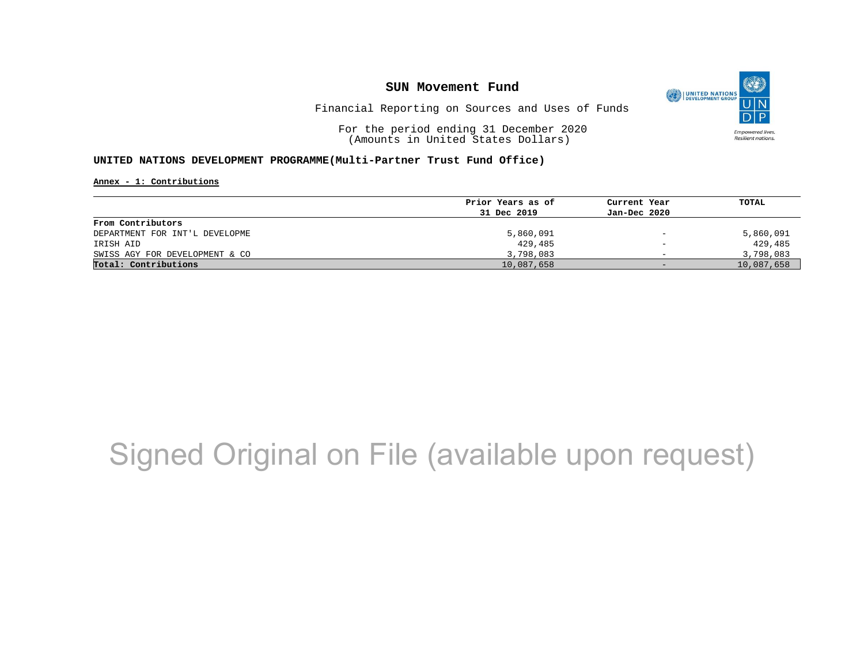

Financial Reporting on Sources and Uses of Funds

For the period ending 31 December 2020 (Amounts in United States Dollars)

#### **UNITED NATIONS DEVELOPMENT PROGRAMME(Multi-Partner Trust Fund Office)**

**Annex - 1: Contributions**

| Prior Years as of | Current Year             | TOTAL      |
|-------------------|--------------------------|------------|
| 31 Dec 2019       | Jan-Dec 2020             |            |
|                   |                          |            |
| 5,860,091         | $\qquad \qquad -$        | 5,860,091  |
| 429,485           | $\overline{\phantom{m}}$ | 429,485    |
| 3,798,083         | $\overline{\phantom{0}}$ | 3,798,083  |
| 10,087,658        | $-$                      | 10,087,658 |
|                   |                          |            |

## Signed Original on File (available upon request)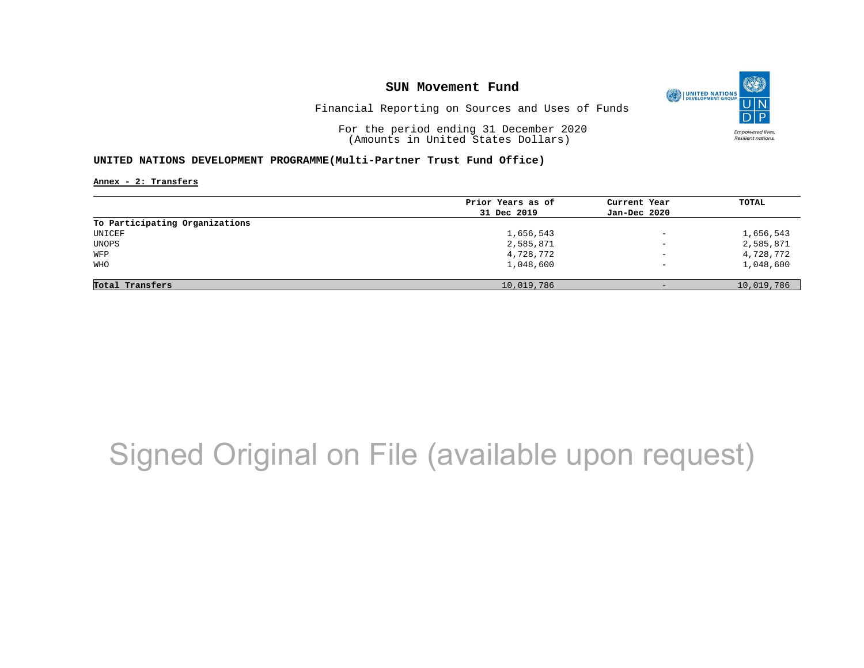

Financial Reporting on Sources and Uses of Funds

For the period ending 31 December 2020 (Amounts in United States Dollars)

#### **UNITED NATIONS DEVELOPMENT PROGRAMME(Multi-Partner Trust Fund Office)**

**Annex - 2: Transfers**

|                                | Prior Years as of | Current Year             | TOTAL      |
|--------------------------------|-------------------|--------------------------|------------|
|                                | 31 Dec 2019       | Jan-Dec 2020             |            |
| To Participating Organizations |                   |                          |            |
| UNICEF                         | 1,656,543         | $\overline{\phantom{0}}$ | 1,656,543  |
| UNOPS                          | 2,585,871         | $\overline{\phantom{0}}$ | 2,585,871  |
| WFP                            | 4,728,772         | $\overline{\phantom{m}}$ | 4,728,772  |
| <b>WHO</b>                     | 1,048,600         | $\qquad \qquad -$        | 1,048,600  |
|                                |                   |                          |            |
| Total Transfers                | 10,019,786        | $-$                      | 10,019,786 |

## Signed Original on File (available upon request)